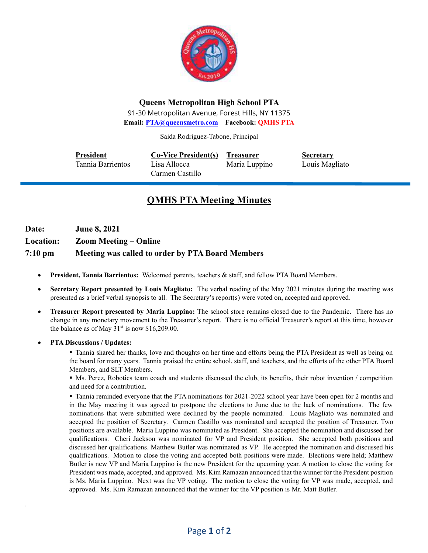

### **Queens Metropolitan High School PTA**

91-30 Metropolitan Avenue, Forest Hills, NY 11375 **Email: [PTA@queensmetro.com](mailto:PTA@queensmetro.com) Facebook: QMHS PTA**

Saida Rodriguez-Tabone, Principal

| <b>President</b>  | <b>Co-Vice President(s)</b>     | <b>Treasurer</b> | <b>Secretary</b> |
|-------------------|---------------------------------|------------------|------------------|
| Tannia Barrientos | Lisa Allocca<br>Carmen Castillo | Maria Luppino    | Louis Magliato   |

# **QMHS PTA Meeting Minutes**

**Date: June 8, 2021 Location: Zoom Meeting – Online 7:10 pm Meeting was called to order by PTA Board Members**

- **President, Tannia Barrientos:** Welcomed parents, teachers & staff, and fellow PTA Board Members.
- **Secretary Report presented by Louis Magliato:** The verbal reading of the May 2021 minutes during the meeting was presented as a brief verbal synopsis to all. The Secretary's report(s) were voted on, accepted and approved.
- **Treasurer Report presented by Maria Luppino:** The school store remains closed due to the Pandemic. There has no change in any monetary movement to the Treasurer's report. There is no official Treasurer's report at this time, however the balance as of May  $31<sup>st</sup>$  is now \$16,209.00.
- **PTA Discussions / Updates:**

▪ Tannia shared her thanks, love and thoughts on her time and efforts being the PTA President as well as being on the board for many years. Tannia praised the entire school, staff, and teachers, and the efforts of the other PTA Board Members, and SLT Members.

▪ Ms. Perez, Robotics team coach and students discussed the club, its benefits, their robot invention / competition and need for a contribution.

▪ Tannia reminded everyone that the PTA nominations for 2021-2022 school year have been open for 2 months and in the May meeting it was agreed to postpone the elections to June due to the lack of nominations. The few nominations that were submitted were declined by the people nominated. Louis Magliato was nominated and accepted the position of Secretary. Carmen Castillo was nominated and accepted the position of Treasurer. Two positions are available. Maria Luppino was nominated as President. She accepted the nomination and discussed her qualifications. Cheri Jackson was nominated for VP and President position. She accepted both positions and discussed her qualifications. Matthew Butler was nominated as VP. He accepted the nomination and discussed his qualifications. Motion to close the voting and accepted both positions were made. Elections were held; Matthew Butler is new VP and Maria Luppino is the new President for the upcoming year. A motion to close the voting for President was made, accepted, and approved. Ms. Kim Ramazan announced that the winner for the President position is Ms. Maria Luppino. Next was the VP voting. The motion to close the voting for VP was made, accepted, and approved. Ms. Kim Ramazan announced that the winner for the VP position is Mr. Matt Butler.